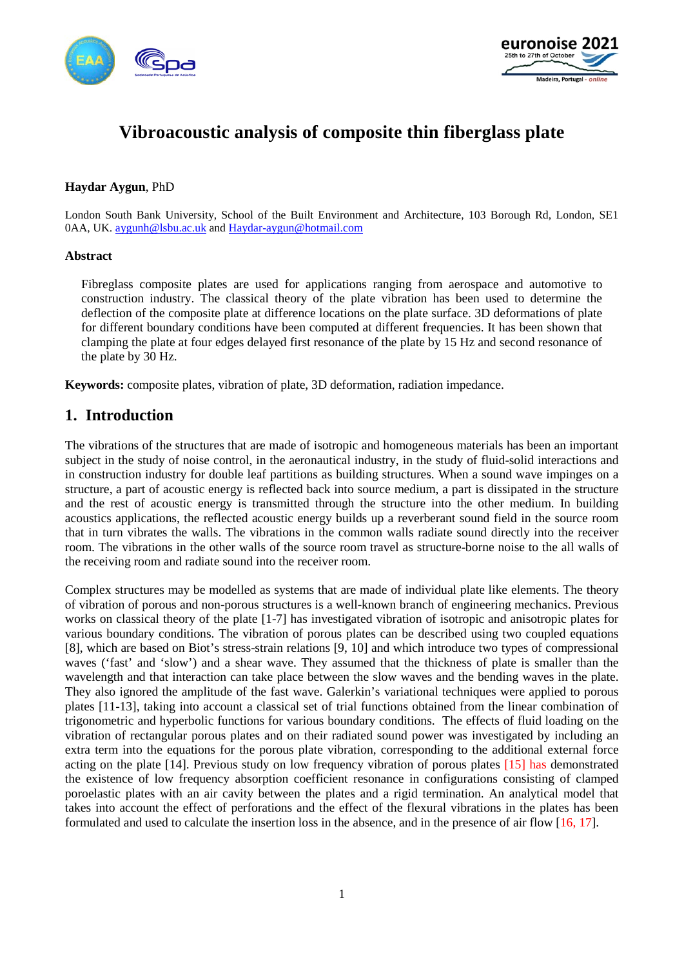



# **Vibroacoustic analysis of composite thin fiberglass plate**

#### **Haydar Aygun**, PhD

London South Bank University, School of the Built Environment and Architecture, 103 Borough Rd, London, SE1 0AA, UK. [aygunh@lsbu.ac.uk](mailto:aygunh@lsbu.ac.uk) and [Haydar-aygun@hotmail.com](mailto:Haydar-aygun@hotmail.com)

#### **Abstract**

Fibreglass composite plates are used for applications ranging from aerospace and automotive to construction industry. The classical theory of the plate vibration has been used to determine the deflection of the composite plate at difference locations on the plate surface. 3D deformations of plate for different boundary conditions have been computed at different frequencies. It has been shown that clamping the plate at four edges delayed first resonance of the plate by 15 Hz and second resonance of the plate by 30 Hz.

**Keywords:** composite plates, vibration of plate, 3D deformation, radiation impedance.

### **1. Introduction**

The vibrations of the structures that are made of isotropic and homogeneous materials has been an important subject in the study of noise control, in the aeronautical industry, in the study of fluid-solid interactions and in construction industry for double leaf partitions as building structures. When a sound wave impinges on a structure, a part of acoustic energy is reflected back into source medium, a part is dissipated in the structure and the rest of acoustic energy is transmitted through the structure into the other medium. In building acoustics applications, the reflected acoustic energy builds up a reverberant sound field in the source room that in turn vibrates the walls. The vibrations in the common walls radiate sound directly into the receiver room. The vibrations in the other walls of the source room travel as structure-borne noise to the all walls of the receiving room and radiate sound into the receiver room.

Complex structures may be modelled as systems that are made of individual plate like elements. The theory of vibration of porous and non-porous structures is a well-known branch of engineering mechanics. Previous works on classical theory of the plate [1-7] has investigated vibration of isotropic and anisotropic plates for various boundary conditions. The vibration of porous plates can be described using two coupled equations [8], which are based on Biot's stress-strain relations [9, 10] and which introduce two types of compressional waves ('fast' and 'slow') and a shear wave. They assumed that the thickness of plate is smaller than the wavelength and that interaction can take place between the slow waves and the bending waves in the plate. They also ignored the amplitude of the fast wave. Galerkin's variational techniques were applied to porous plates [11-13], taking into account a classical set of trial functions obtained from the linear combination of trigonometric and hyperbolic functions for various boundary conditions. The effects of fluid loading on the vibration of rectangular porous plates and on their radiated sound power was investigated by including an extra term into the equations for the porous plate vibration, corresponding to the additional external force acting on the plate [14]. Previous study on low frequency vibration of porous plates [15] has demonstrated the existence of low frequency absorption coefficient resonance in configurations consisting of clamped poroelastic plates with an air cavity between the plates and a rigid termination. An analytical model that takes into account the effect of perforations and the effect of the flexural vibrations in the plates has been formulated and used to calculate the insertion loss in the absence, and in the presence of air flow [16, 17].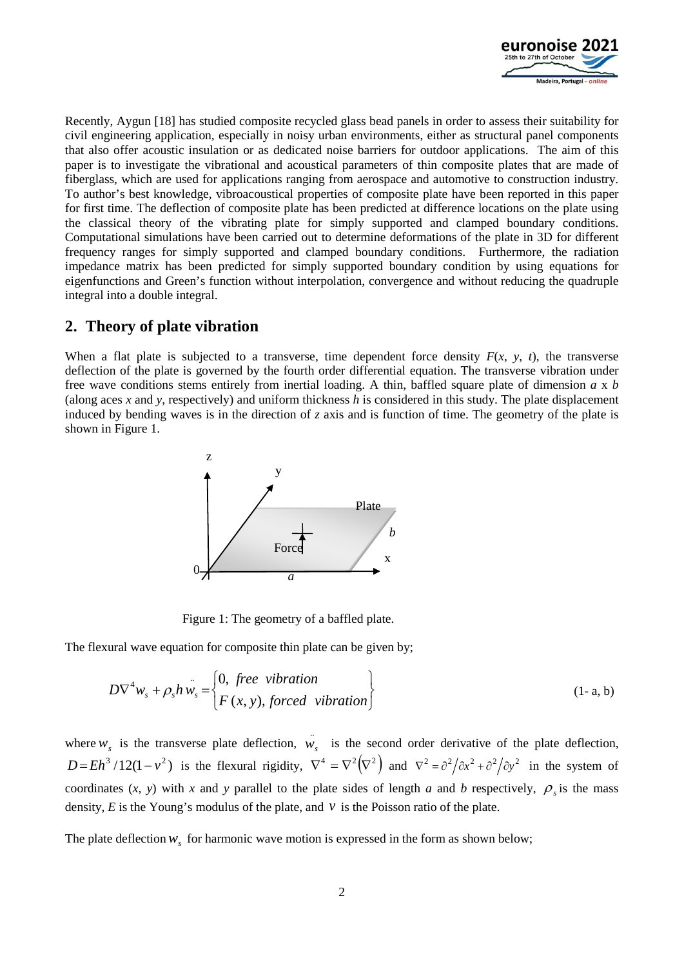

Recently, Aygun [18] has studied composite recycled glass bead panels in order to assess their suitability for civil engineering application, especially in noisy urban environments, either as structural panel components that also offer acoustic insulation or as dedicated noise barriers for outdoor applications. The aim of this paper is to investigate the vibrational and acoustical parameters of thin composite plates that are made of fiberglass, which are used for applications ranging from aerospace and automotive to construction industry. To author's best knowledge, vibroacoustical properties of composite plate have been reported in this paper for first time. The deflection of composite plate has been predicted at difference locations on the plate using the classical theory of the vibrating plate for simply supported and clamped boundary conditions. Computational simulations have been carried out to determine deformations of the plate in 3D for different frequency ranges for simply supported and clamped boundary conditions. Furthermore, the radiation impedance matrix has been predicted for simply supported boundary condition by using equations for eigenfunctions and Green's function without interpolation, convergence and without reducing the quadruple integral into a double integral.

## **2. Theory of plate vibration**

When a flat plate is subjected to a transverse, time dependent force density  $F(x, y, t)$ , the transverse deflection of the plate is governed by the fourth order differential equation. The transverse vibration under free wave conditions stems entirely from inertial loading. A thin, baffled square plate of dimension *a* x *b* (along aces *x* and *y*, respectively) and uniform thickness *h* is considered in this study. The plate displacement induced by bending waves is in the direction of *z* axis and is function of time. The geometry of the plate is shown in Figure 1.



Figure 1: The geometry of a baffled plate.

The flexural wave equation for composite thin plate can be given by;

$$
D\nabla^4 w_s + \rho_s h w_s = \begin{cases} 0, \text{ free vibration} \\ F(x, y), \text{forced vibration} \end{cases}
$$
 (1- a, b)

where  $w_s$  is the transverse plate deflection,  $\hat{w}_s$  is the second order derivative of the plate deflection,  $D = Eh^3/12(1 - v^2)$  is the flexural rigidity,  $\nabla^4 = \nabla^2(\nabla^2)$  and  $\nabla^2 = \frac{\partial^2}{\partial x^2} + \frac{\partial^2}{\partial y^2}$  in the system of coordinates  $(x, y)$  with *x* and *y* parallel to the plate sides of length *a* and *b* respectively,  $\rho$  is the mass density,  $E$  is the Young's modulus of the plate, and  $\nu$  is the Poisson ratio of the plate.

The plate deflection  $w_s$  for harmonic wave motion is expressed in the form as shown below;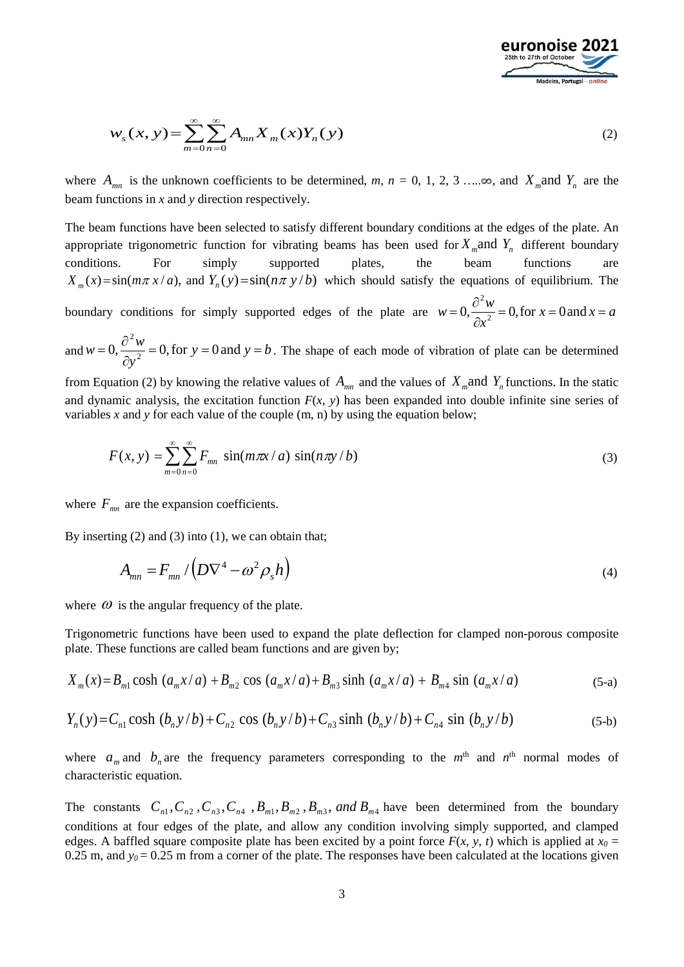

$$
w_s(x, y) = \sum_{m=0}^{\infty} \sum_{n=0}^{\infty} A_{mn} X_m(x) Y_n(y)
$$
 (2)

where  $A_{mn}$  is the unknown coefficients to be determined, *m*,  $n = 0, 1, 2, 3, \ldots$   $\infty$ , and  $X_m$  and  $Y_n$  are the beam functions in *x* and *y* direction respectively.

The beam functions have been selected to satisfy different boundary conditions at the edges of the plate. An appropriate trigonometric function for vibrating beams has been used for  $X<sub>m</sub>$  and  $Y<sub>n</sub>$  different boundary conditions. For simply supported plates, the beam functions are  $X_m(x) = \sin(m\pi x/a)$ , and  $Y_n(y) = \sin(n\pi y/b)$  which should satisfy the equations of equilibrium. The boundary conditions for simply supported edges of the plate are  $w = 0, \frac{6}{3}, \frac{1}{2}, \frac{3}{2} = 0$ , for  $x = 0$  and  $x = a$ *x*  $w = 0, \frac{\partial^2 w}{\partial x^2} = 0$ , for  $x = 0$  and  $x = 0$ 

and  $w = 0, \frac{b}{2} = 0$ , for  $y = 0$  and  $y = b$ *y*  $w = 0, \frac{\partial^2 w}{\partial y^2} = 0$ , for  $y = 0$  and  $y = 0$ . The shape of each mode of vibration of plate can be determined

from Equation (2) by knowing the relative values of  $A_{mn}$  and the values of  $X_m$  and  $Y_n$  functions. In the static and dynamic analysis, the excitation function  $F(x, y)$  has been expanded into double infinite sine series of variables *x* and *y* for each value of the couple (m, n) by using the equation below;

$$
F(x, y) = \sum_{m=0}^{\infty} \sum_{n=0}^{\infty} F_{mn} \sin(m\pi x/a) \sin(n\pi y/b)
$$
 (3)

where  $F_{mn}$  are the expansion coefficients.

By inserting (2) and (3) into (1), we can obtain that;

$$
A_{mn} = F_{mn} / \left( D \nabla^4 - \omega^2 \rho_s h \right)
$$
 (4)

where  $\omega$  is the angular frequency of the plate.

Trigonometric functions have been used to expand the plate deflection for clamped non-porous composite plate. These functions are called beam functions and are given by;

$$
X_m(x) = B_{m1} \cosh (a_m x/a) + B_{m2} \cos (a_m x/a) + B_{m3} \sinh (a_m x/a) + B_{m4} \sin (a_m x/a)
$$
 (5-a)

$$
Y_n(y) = C_{n1} \cosh (b_n y/b) + C_{n2} \cos (b_n y/b) + C_{n3} \sinh (b_n y/b) + C_{n4} \sin (b_n y/b)
$$
 (5-b)

where  $a_m$  and  $b_n$  are the frequency parameters corresponding to the  $m<sup>th</sup>$  and  $n<sup>th</sup>$  normal modes of characteristic equation.

The constants  $C_{n_1}, C_{n_2}, C_{n_3}, C_{n_4}, B_{m_1}, B_{m_2}, B_{m_3}$ , and  $B_{m_4}$  have been determined from the boundary conditions at four edges of the plate, and allow any condition involving simply supported, and clamped edges. A baffled square composite plate has been excited by a point force  $F(x, y, t)$  which is applied at  $x_0 =$ 0.25 m, and  $y_0 = 0.25$  m from a corner of the plate. The responses have been calculated at the locations given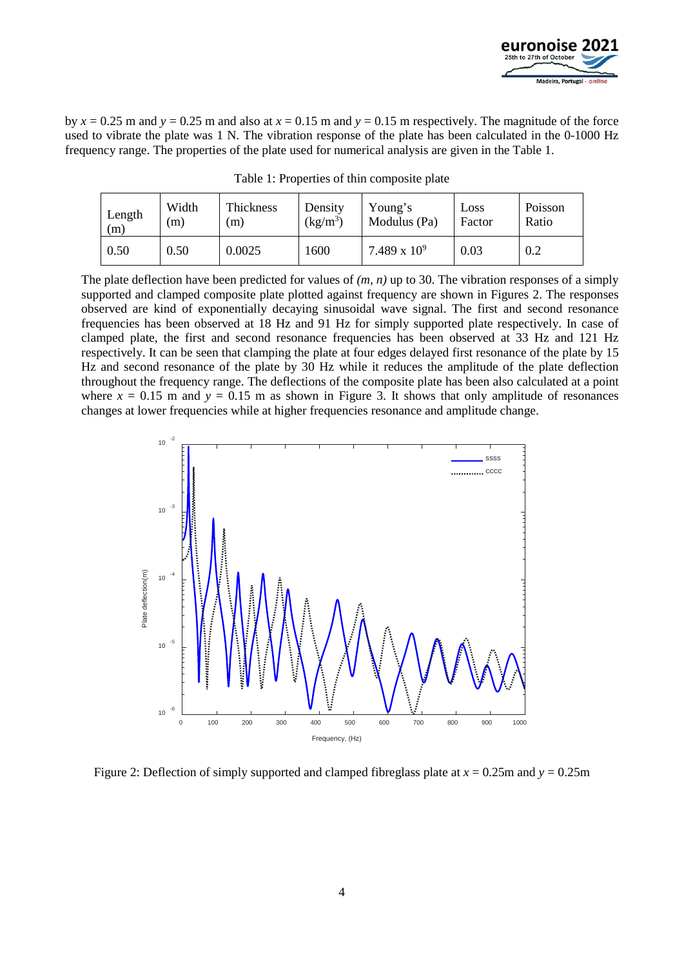

by  $x = 0.25$  m and  $y = 0.25$  m and also at  $x = 0.15$  m and  $y = 0.15$  m respectively. The magnitude of the force used to vibrate the plate was 1 N. The vibration response of the plate has been calculated in the 0-1000 Hz frequency range. The properties of the plate used for numerical analysis are given in the Table 1.

| Length | Width | Thickness | Density    | Young's        | Loss   | Poisson |
|--------|-------|-----------|------------|----------------|--------|---------|
| (m)    | m)    | (m)       | $(kg/m^3)$ | Modulus (Pa)   | Factor | Ratio   |
| 0.50   | 0.50  | 0.0025    | 1600       | 7.489 x $10^9$ | 0.03   | 0.2     |

Table 1: Properties of thin composite plate

The plate deflection have been predicted for values of *(m, n)* up to 30. The vibration responses of a simply supported and clamped composite plate plotted against frequency are shown in Figures 2. The responses observed are kind of exponentially decaying sinusoidal wave signal. The first and second resonance frequencies has been observed at 18 Hz and 91 Hz for simply supported plate respectively. In case of clamped plate, the first and second resonance frequencies has been observed at 33 Hz and 121 Hz respectively. It can be seen that clamping the plate at four edges delayed first resonance of the plate by 15 Hz and second resonance of the plate by 30 Hz while it reduces the amplitude of the plate deflection throughout the frequency range. The deflections of the composite plate has been also calculated at a point where  $x = 0.15$  m and  $y = 0.15$  m as shown in Figure 3. It shows that only amplitude of resonances changes at lower frequencies while at higher frequencies resonance and amplitude change.



Figure 2: Deflection of simply supported and clamped fibreglass plate at *x* = 0.25m and *y* = 0.25m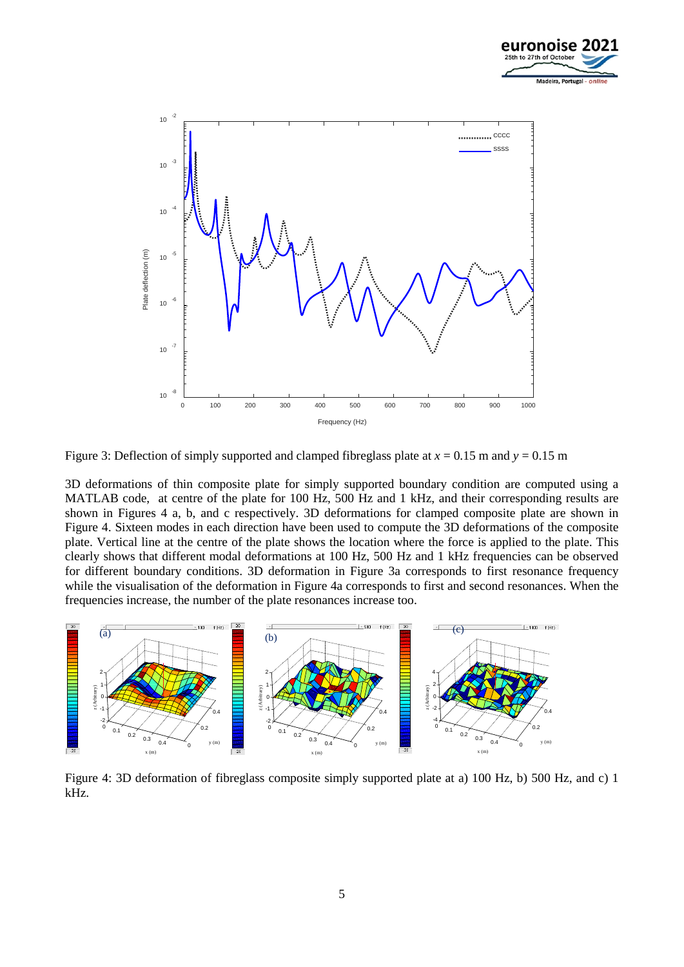



Figure 3: Deflection of simply supported and clamped fibreglass plate at  $x = 0.15$  m and  $y = 0.15$  m

3D deformations of thin composite plate for simply supported boundary condition are computed using a MATLAB code, at centre of the plate for 100 Hz, 500 Hz and 1 kHz, and their corresponding results are shown in Figures 4 a, b, and c respectively. 3D deformations for clamped composite plate are shown in Figure 4. Sixteen modes in each direction have been used to compute the 3D deformations of the composite plate. Vertical line at the centre of the plate shows the location where the force is applied to the plate. This clearly shows that different modal deformations at 100 Hz, 500 Hz and 1 kHz frequencies can be observed for different boundary conditions. 3D deformation in Figure 3a corresponds to first resonance frequency while the visualisation of the deformation in Figure 4a corresponds to first and second resonances. When the frequencies increase, the number of the plate resonances increase too.



Figure 4: 3D deformation of fibreglass composite simply supported plate at a) 100 Hz, b) 500 Hz, and c) 1 kHz.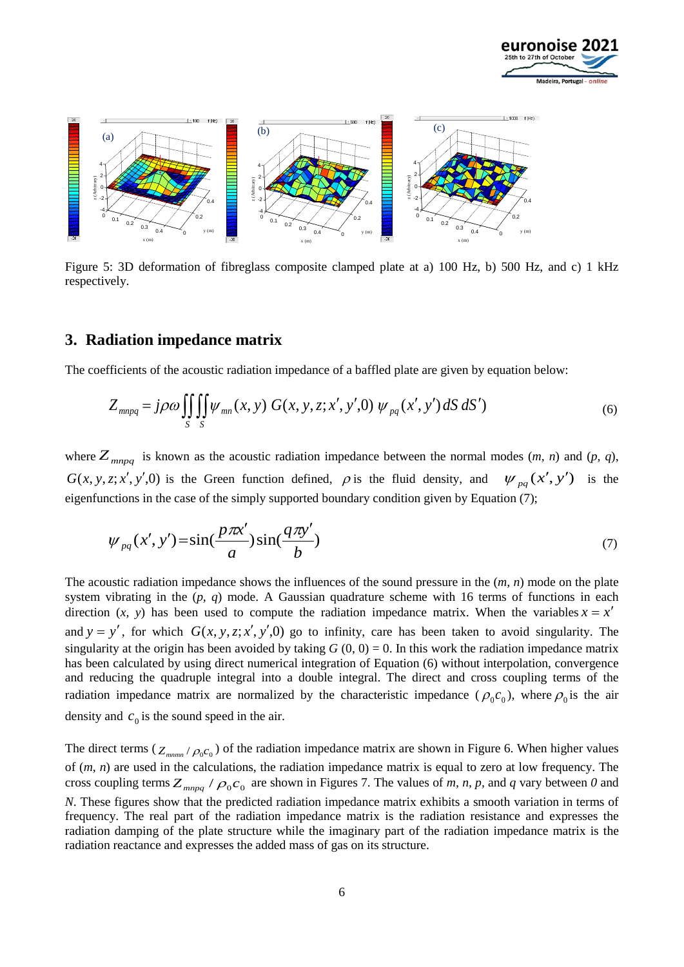



Figure 5: 3D deformation of fibreglass composite clamped plate at a) 100 Hz, b) 500 Hz, and c) 1 kHz respectively.

#### **3. Radiation impedance matrix**

The coefficients of the acoustic radiation impedance of a baffled plate are given by equation below:

$$
Z_{mnpq} = j\rho\omega \iiint_{S} \psi_{mn}(x, y) G(x, y, z; x', y', 0) \psi_{pq}(x', y') dS dS')
$$
(6)

where  $Z_{mnpq}$  is known as the acoustic radiation impedance between the normal modes  $(m, n)$  and  $(p, q)$ , *G*(*x*, *y*, *z*; *x'*, *y'*,0) is the Green function defined,  $\rho$  is the fluid density, and  $\psi_{pq}(x', y')$  is the eigenfunctions in the case of the simply supported boundary condition given by Equation (7);

$$
\psi_{pq}(x',y') = \sin(\frac{p\pi x'}{a})\sin(\frac{q\pi y'}{b})\tag{7}
$$

The acoustic radiation impedance shows the influences of the sound pressure in the (*m, n*) mode on the plate system vibrating in the (*p, q*) mode. A Gaussian quadrature scheme with 16 terms of functions in each direction (*x*, *y*) has been used to compute the radiation impedance matrix. When the variables  $x = x'$ and  $y = y'$ , for which  $G(x, y, z; x', y', 0)$  go to infinity, care has been taken to avoid singularity. The singularity at the origin has been avoided by taking  $G(0, 0) = 0$ . In this work the radiation impedance matrix has been calculated by using direct numerical integration of Equation (6) without interpolation, convergence and reducing the quadruple integral into a double integral. The direct and cross coupling terms of the radiation impedance matrix are normalized by the characteristic impedance ( $\rho_0 c_0$ ), where  $\rho_0$  is the air density and  $c_0$  is the sound speed in the air.

The direct terms  $(Z_{\text{num}} / \rho_0 c_0)$  of the radiation impedance matrix are shown in Figure 6. When higher values of (*m, n*) are used in the calculations, the radiation impedance matrix is equal to zero at low frequency. The cross coupling terms  $Z_{mnpq}$  /  $\rho_0 c_0$  are shown in Figures 7. The values of *m, n, p,* and *q* vary between 0 and *N*. These figures show that the predicted radiation impedance matrix exhibits a smooth variation in terms of frequency. The real part of the radiation impedance matrix is the radiation resistance and expresses the radiation damping of the plate structure while the imaginary part of the radiation impedance matrix is the radiation reactance and expresses the added mass of gas on its structure.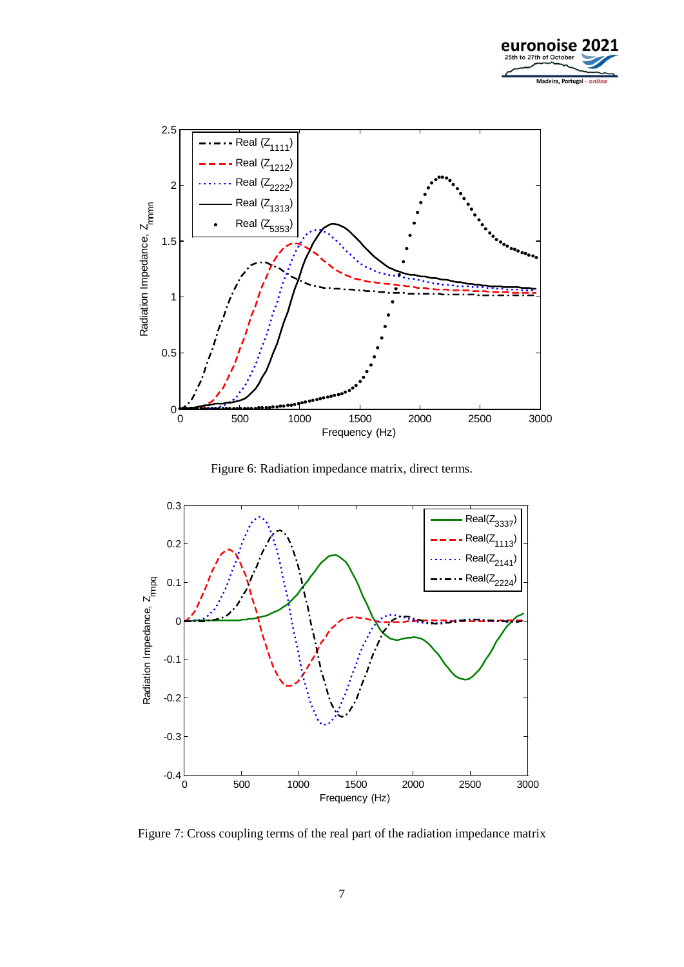



Figure 6: Radiation impedance matrix, direct terms.



Figure 7: Cross coupling terms of the real part of the radiation impedance matrix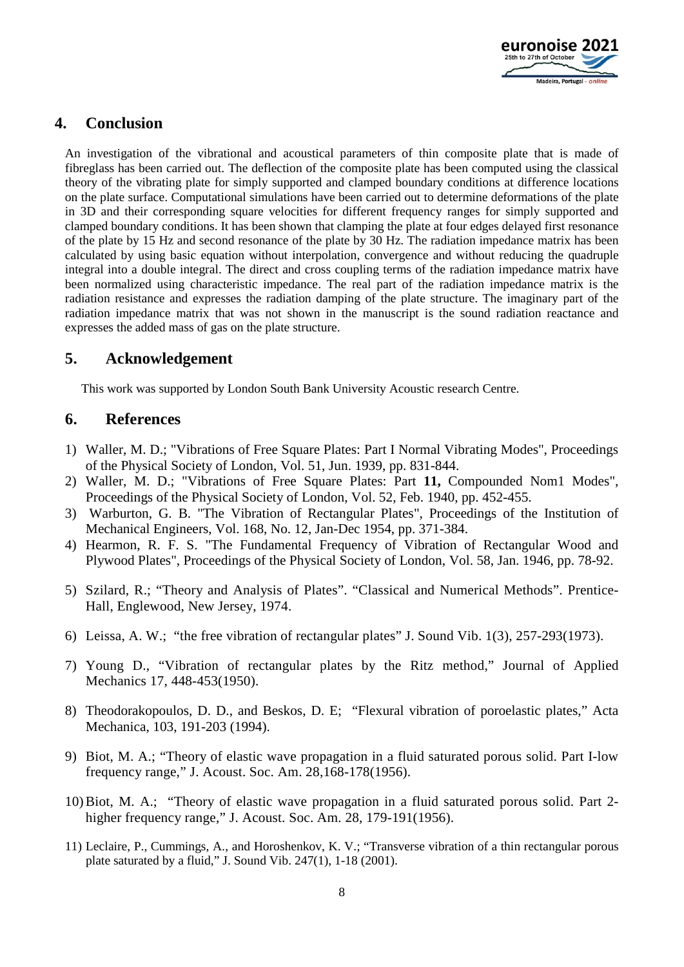

# **4. Conclusion**

An investigation of the vibrational and acoustical parameters of thin composite plate that is made of fibreglass has been carried out. The deflection of the composite plate has been computed using the classical theory of the vibrating plate for simply supported and clamped boundary conditions at difference locations on the plate surface. Computational simulations have been carried out to determine deformations of the plate in 3D and their corresponding square velocities for different frequency ranges for simply supported and clamped boundary conditions. It has been shown that clamping the plate at four edges delayed first resonance of the plate by 15 Hz and second resonance of the plate by 30 Hz. The radiation impedance matrix has been calculated by using basic equation without interpolation, convergence and without reducing the quadruple integral into a double integral. The direct and cross coupling terms of the radiation impedance matrix have been normalized using characteristic impedance. The real part of the radiation impedance matrix is the radiation resistance and expresses the radiation damping of the plate structure. The imaginary part of the radiation impedance matrix that was not shown in the manuscript is the sound radiation reactance and expresses the added mass of gas on the plate structure.

## **5. Acknowledgement**

This work was supported by London South Bank University Acoustic research Centre.

### **6. References**

- 1) Waller, M. D.; "Vibrations of Free Square Plates: Part I Normal Vibrating Modes", Proceedings of the Physical Society of London, Vol. 51, Jun. 1939, pp. 831-844.
- 2) Waller, M. D.; "Vibrations of Free Square Plates: Part **11,** Compounded Nom1 Modes", Proceedings of the Physical Society of London, Vol. 52, Feb. 1940, pp. 452-455.
- 3) Warburton, G. B. "The Vibration of Rectangular Plates", Proceedings of the Institution of Mechanical Engineers, Vol. 168, No. 12, Jan-Dec 1954, pp. 371-384.
- 4) Hearmon, R. F. S. "The Fundamental Frequency of Vibration of Rectangular Wood and Plywood Plates", Proceedings of the Physical Society of London, Vol. 58, Jan. 1946, pp. 78-92.
- 5) Szilard, R.; "Theory and Analysis of Plates". "Classical and Numerical Methods". Prentice-Hall, Englewood, New Jersey, 1974.
- 6) Leissa, A. W.; "the free vibration of rectangular plates" J. Sound Vib. 1(3), 257-293(1973).
- 7) Young D., "Vibration of rectangular plates by the Ritz method," Journal of Applied Mechanics 17, 448-453(1950).
- 8) Theodorakopoulos, D. D., and Beskos, D. E; "Flexural vibration of poroelastic plates," Acta Mechanica, 103, 191-203 (1994).
- 9) Biot, M. A.; "Theory of elastic wave propagation in a fluid saturated porous solid. Part I-low frequency range," J. Acoust. Soc. Am. 28,168-178(1956).
- 10)Biot, M. A.; "Theory of elastic wave propagation in a fluid saturated porous solid. Part 2 higher frequency range," J. Acoust. Soc. Am. 28, 179-191(1956).
- 11) Leclaire, P., Cummings, A., and Horoshenkov, K. V.; "Transverse vibration of a thin rectangular porous plate saturated by a fluid," J. Sound Vib. 247(1), 1-18 (2001).